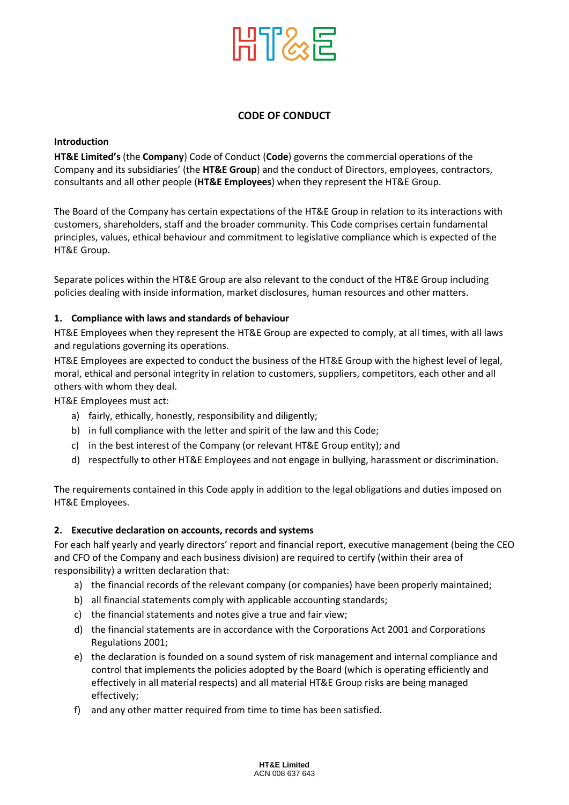

# **CODE OF CONDUCT**

#### **Introduction**

**HT&E Limited's** (the **Company**) Code of Conduct (**Code**) governs the commercial operations of the Company and its subsidiaries' (the **HT&E Group**) and the conduct of Directors, employees, contractors, consultants and all other people (**HT&E Employees**) when they represent the HT&E Group.

The Board of the Company has certain expectations of the HT&E Group in relation to its interactions with customers, shareholders, staff and the broader community. This Code comprises certain fundamental principles, values, ethical behaviour and commitment to legislative compliance which is expected of the HT&E Group.

Separate polices within the HT&E Group are also relevant to the conduct of the HT&E Group including policies dealing with inside information, market disclosures, human resources and other matters.

## **1. Compliance with laws and standards of behaviour**

HT&E Employees when they represent the HT&E Group are expected to comply, at all times, with all laws and regulations governing its operations.

HT&E Employees are expected to conduct the business of the HT&E Group with the highest level of legal, moral, ethical and personal integrity in relation to customers, suppliers, competitors, each other and all others with whom they deal.

HT&E Employees must act:

- a) fairly, ethically, honestly, responsibility and diligently;
- b) in full compliance with the letter and spirit of the law and this Code;
- c) in the best interest of the Company (or relevant HT&E Group entity); and
- d) respectfully to other HT&E Employees and not engage in bullying, harassment or discrimination.

The requirements contained in this Code apply in addition to the legal obligations and duties imposed on HT&E Employees.

## **2. Executive declaration on accounts, records and systems**

For each half yearly and yearly directors' report and financial report, executive management (being the CEO and CFO of the Company and each business division) are required to certify (within their area of responsibility) a written declaration that:

- a) the financial records of the relevant company (or companies) have been properly maintained;
- b) all financial statements comply with applicable accounting standards;
- c) the financial statements and notes give a true and fair view;
- d) the financial statements are in accordance with the Corporations Act 2001 and Corporations Regulations 2001;
- e) the declaration is founded on a sound system of risk management and internal compliance and control that implements the policies adopted by the Board (which is operating efficiently and effectively in all material respects) and all material HT&E Group risks are being managed effectively;
- f) and any other matter required from time to time has been satisfied.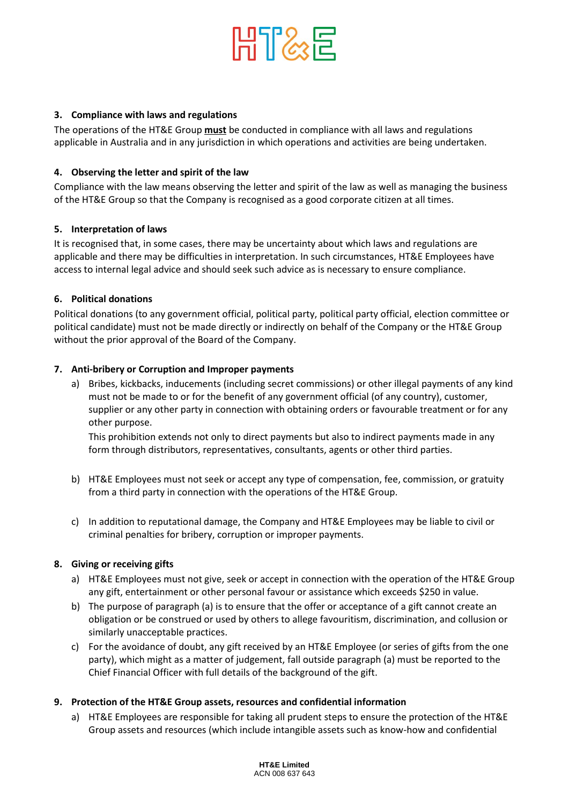

## **3. Compliance with laws and regulations**

The operations of the HT&E Group **must** be conducted in compliance with all laws and regulations applicable in Australia and in any jurisdiction in which operations and activities are being undertaken.

## **4. Observing the letter and spirit of the law**

Compliance with the law means observing the letter and spirit of the law as well as managing the business of the HT&E Group so that the Company is recognised as a good corporate citizen at all times.

## **5. Interpretation of laws**

It is recognised that, in some cases, there may be uncertainty about which laws and regulations are applicable and there may be difficulties in interpretation. In such circumstances, HT&E Employees have access to internal legal advice and should seek such advice as is necessary to ensure compliance.

## **6. Political donations**

Political donations (to any government official, political party, political party official, election committee or political candidate) must not be made directly or indirectly on behalf of the Company or the HT&E Group without the prior approval of the Board of the Company.

## **7. Anti-bribery or Corruption and Improper payments**

a) Bribes, kickbacks, inducements (including secret commissions) or other illegal payments of any kind must not be made to or for the benefit of any government official (of any country), customer, supplier or any other party in connection with obtaining orders or favourable treatment or for any other purpose.

This prohibition extends not only to direct payments but also to indirect payments made in any form through distributors, representatives, consultants, agents or other third parties.

- b) HT&E Employees must not seek or accept any type of compensation, fee, commission, or gratuity from a third party in connection with the operations of the HT&E Group.
- c) In addition to reputational damage, the Company and HT&E Employees may be liable to civil or criminal penalties for bribery, corruption or improper payments.

#### **8. Giving or receiving gifts**

- a) HT&E Employees must not give, seek or accept in connection with the operation of the HT&E Group any gift, entertainment or other personal favour or assistance which exceeds \$250 in value.
- b) The purpose of paragraph (a) is to ensure that the offer or acceptance of a gift cannot create an obligation or be construed or used by others to allege favouritism, discrimination, and collusion or similarly unacceptable practices.
- c) For the avoidance of doubt, any gift received by an HT&E Employee (or series of gifts from the one party), which might as a matter of judgement, fall outside paragraph (a) must be reported to the Chief Financial Officer with full details of the background of the gift.

#### **9. Protection of the HT&E Group assets, resources and confidential information**

a) HT&E Employees are responsible for taking all prudent steps to ensure the protection of the HT&E Group assets and resources (which include intangible assets such as know-how and confidential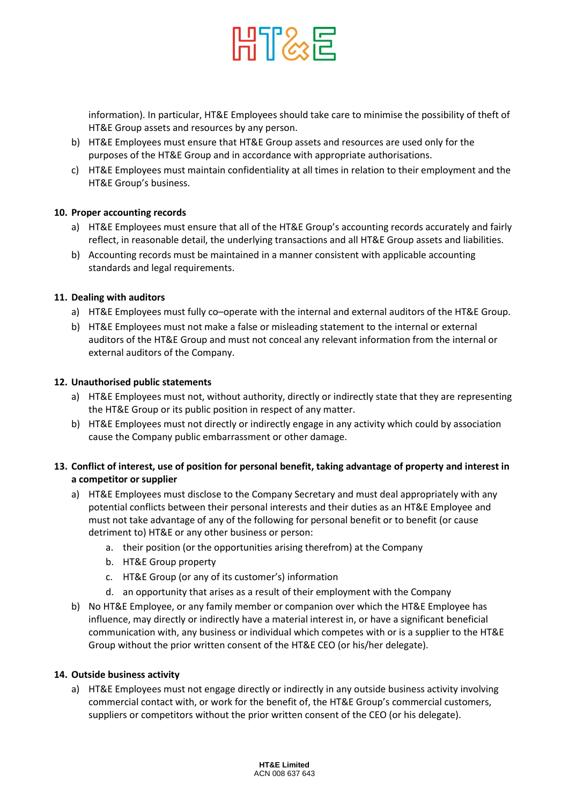

information). In particular, HT&E Employees should take care to minimise the possibility of theft of HT&E Group assets and resources by any person.

- b) HT&E Employees must ensure that HT&E Group assets and resources are used only for the purposes of the HT&E Group and in accordance with appropriate authorisations.
- c) HT&E Employees must maintain confidentiality at all times in relation to their employment and the HT&E Group's business.

## **10. Proper accounting records**

- a) HT&E Employees must ensure that all of the HT&E Group's accounting records accurately and fairly reflect, in reasonable detail, the underlying transactions and all HT&E Group assets and liabilities.
- b) Accounting records must be maintained in a manner consistent with applicable accounting standards and legal requirements.

## **11. Dealing with auditors**

- a) HT&E Employees must fully co-operate with the internal and external auditors of the HT&E Group.
- b) HT&E Employees must not make a false or misleading statement to the internal or external auditors of the HT&E Group and must not conceal any relevant information from the internal or external auditors of the Company.

## **12. Unauthorised public statements**

- a) HT&E Employees must not, without authority, directly or indirectly state that they are representing the HT&E Group or its public position in respect of any matter.
- b) HT&E Employees must not directly or indirectly engage in any activity which could by association cause the Company public embarrassment or other damage.

## **13. Conflict of interest, use of position for personal benefit, taking advantage of property and interest in a competitor or supplier**

- a) HT&E Employees must disclose to the Company Secretary and must deal appropriately with any potential conflicts between their personal interests and their duties as an HT&E Employee and must not take advantage of any of the following for personal benefit or to benefit (or cause detriment to) HT&E or any other business or person:
	- a. their position (or the opportunities arising therefrom) at the Company
	- b. HT&E Group property
	- c. HT&E Group (or any of its customer's) information
	- d. an opportunity that arises as a result of their employment with the Company
- b) No HT&E Employee, or any family member or companion over which the HT&E Employee has influence, may directly or indirectly have a material interest in, or have a significant beneficial communication with, any business or individual which competes with or is a supplier to the HT&E Group without the prior written consent of the HT&E CEO (or his/her delegate).

#### **14. Outside business activity**

a) HT&E Employees must not engage directly or indirectly in any outside business activity involving commercial contact with, or work for the benefit of, the HT&E Group's commercial customers, suppliers or competitors without the prior written consent of the CEO (or his delegate).